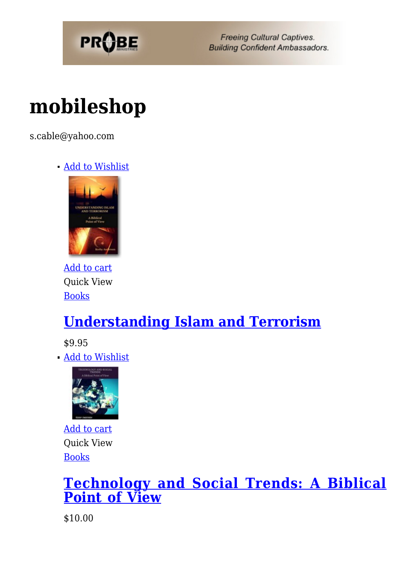

# **[mobileshop](https://probe.org/mobileshop/)**

s.cable@yahoo.com

[Add to Wishlist](https://probe.org/?add_to_wishlist=44258&_wpnonce=596a8ce2f2)



[Add to cart](https://probe.org/?add-to-cart=44258) Quick View [Books](https://probe.org/product-category/books/)

### **[Understanding Islam and Terrorism](https://probe.org/product/understanding-islam-and-terrorism/)**

\$9.95

[Add to Wishlist](https://probe.org/?add_to_wishlist=42596&_wpnonce=596a8ce2f2)



[Add to cart](https://probe.org/?add-to-cart=42596) Quick View [Books](https://probe.org/product-category/books/)

#### **[Technology and Social Trends: A Biblical](https://probe.org/product/technology-and-social-trends-a-biblical-point-of-view/) [Point of View](https://probe.org/product/technology-and-social-trends-a-biblical-point-of-view/)**

\$10.00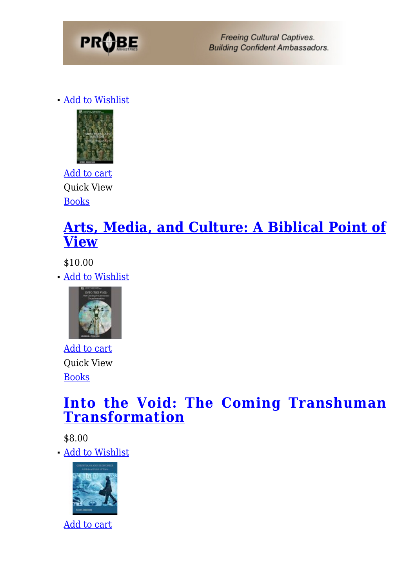

[Add to Wishlist](https://probe.org/?add_to_wishlist=42592&_wpnonce=596a8ce2f2)



[Add to cart](https://probe.org/?add-to-cart=42592) Quick View [Books](https://probe.org/product-category/books/)

#### **[Arts, Media, and Culture: A Biblical Point of](https://probe.org/product/arts-media-and-culture/) [View](https://probe.org/product/arts-media-and-culture/)**

\$10.00

[Add to Wishlist](https://probe.org/?add_to_wishlist=41797&_wpnonce=596a8ce2f2)



[Add to cart](https://probe.org/?add-to-cart=41797) Quick View [Books](https://probe.org/product-category/books/)

#### **[Into the Void: The Coming Transhuman](https://probe.org/product/into-the-void-the-coming-transhuman-transformation/) [Transformation](https://probe.org/product/into-the-void-the-coming-transhuman-transformation/)**

\$8.00

[Add to Wishlist](https://probe.org/?add_to_wishlist=41720&_wpnonce=596a8ce2f2)



[Add to cart](https://probe.org/?add-to-cart=41720)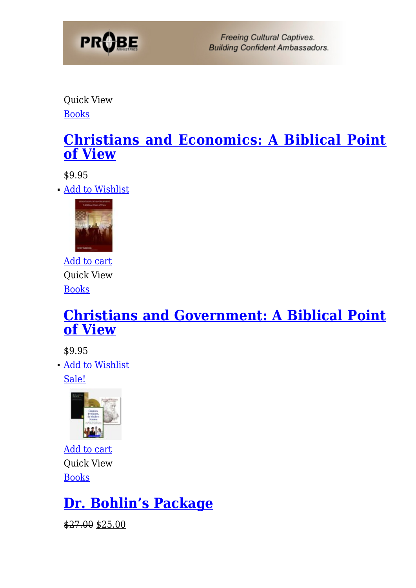

Quick View [Books](https://probe.org/product-category/books/)

#### **[Christians and Economics: A Biblical Point](https://probe.org/product/christians-and-economics-a-biblical-point-of-view/) [of View](https://probe.org/product/christians-and-economics-a-biblical-point-of-view/)**

\$9.95

[Add to Wishlist](https://probe.org/?add_to_wishlist=41714&_wpnonce=596a8ce2f2)



[Add to cart](https://probe.org/?add-to-cart=41714) Quick View [Books](https://probe.org/product-category/books/)

#### **[Christians and Government: A Biblical Point](https://probe.org/product/christians-and-government-a-biblical-point-of-view/) [of View](https://probe.org/product/christians-and-government-a-biblical-point-of-view/)**

\$9.95

[Add to Wishlist](https://probe.org/?add_to_wishlist=36948&_wpnonce=596a8ce2f2)

[Sale!](https://probe.org/product/dr-bohlins-package/)



[Add to cart](https://probe.org/?add-to-cart=36948) Quick View [Books](https://probe.org/product-category/books/)

### **[Dr. Bohlin's Package](https://probe.org/product/dr-bohlins-package/)**

\$27.00 \$25.00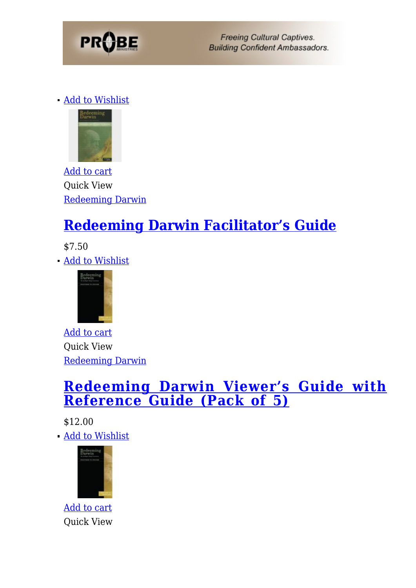

[Add to Wishlist](https://probe.org/?add_to_wishlist=29678&_wpnonce=596a8ce2f2)



[Add to cart](https://probe.org/?add-to-cart=29678) Quick View [Redeeming Darwin](https://probe.org/product-category/redeeming-darwin/)

### **[Redeeming Darwin Facilitator's Guide](https://probe.org/product/redeeming-darwin-leaders-guide/)**

\$7.50

[Add to Wishlist](https://probe.org/?add_to_wishlist=29677&_wpnonce=596a8ce2f2)



[Add to cart](https://probe.org/?add-to-cart=29677) Quick View [Redeeming Darwin](https://probe.org/product-category/redeeming-darwin/)

#### **[Redeeming Darwin Viewer's Guide with](https://probe.org/product/redeeming-darwin-viewers-guide/) [Reference Guide \(Pack of 5\)](https://probe.org/product/redeeming-darwin-viewers-guide/)**

\$12.00 [Add to Wishlist](https://probe.org/?add_to_wishlist=4487&_wpnonce=596a8ce2f2)



[Add to cart](https://probe.org/?add-to-cart=4487) Quick View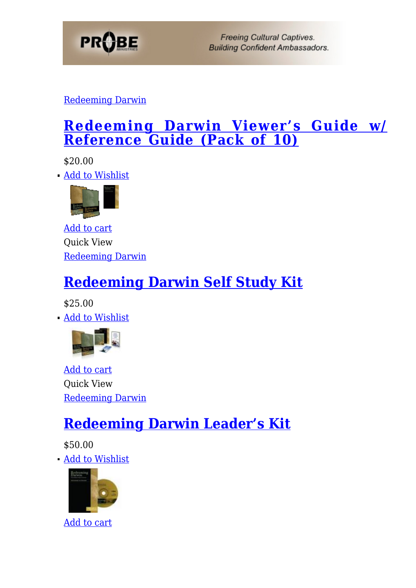

#### [Redeeming Darwin](https://probe.org/product-category/redeeming-darwin/)

#### **[Redeeming Darwin Viewer's Guide w/](https://probe.org/product/viewers-guide-with-reference-guide-pack-of-10/) [Reference Guide \(Pack of 10\)](https://probe.org/product/viewers-guide-with-reference-guide-pack-of-10/)**

\$20.00

[Add to Wishlist](https://probe.org/?add_to_wishlist=4483&_wpnonce=596a8ce2f2)



[Add to cart](https://probe.org/?add-to-cart=4483) Quick View [Redeeming Darwin](https://probe.org/product-category/redeeming-darwin/)

### **[Redeeming Darwin Self Study Kit](https://probe.org/product/self-study-kit/)**

\$25.00

[Add to Wishlist](https://probe.org/?add_to_wishlist=4481&_wpnonce=596a8ce2f2)



[Add to cart](https://probe.org/?add-to-cart=4481) Quick View [Redeeming Darwin](https://probe.org/product-category/redeeming-darwin/)

### **[Redeeming Darwin Leader's Kit](https://probe.org/product/redeeming-darwin-leaders-kit/)**

\$50.00

[Add to Wishlist](https://probe.org/?add_to_wishlist=4476&_wpnonce=596a8ce2f2)



[Add to cart](https://probe.org/?add-to-cart=4476)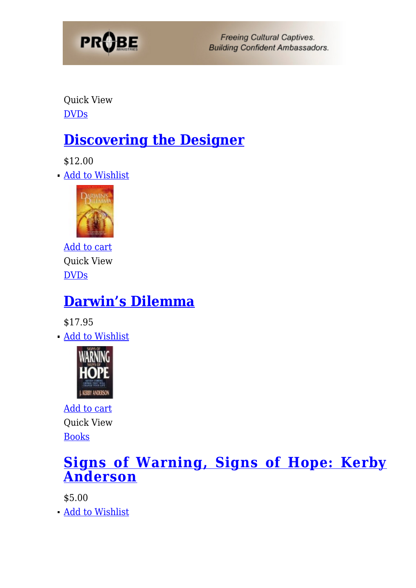

Quick View [DVDs](https://probe.org/product-category/dvds/)

### **[Discovering the Designer](https://probe.org/product/discovering-the-designer/)**

\$12.00

[Add to Wishlist](https://probe.org/?add_to_wishlist=4474&_wpnonce=596a8ce2f2)



[Add to cart](https://probe.org/?add-to-cart=4474) Quick View **[DVDs](https://probe.org/product-category/dvds/)** 

### **[Darwin's Dilemma](https://probe.org/product/darwins-dilemma/)**

\$17.95

[Add to Wishlist](https://probe.org/?add_to_wishlist=4470&_wpnonce=596a8ce2f2)



[Add to cart](https://probe.org/?add-to-cart=4470) Quick View [Books](https://probe.org/product-category/books/)

#### **[Signs of Warning, Signs of Hope: Kerby](https://probe.org/product/signs-of-warning-signs-of-hope-kerby-anderson/) [Anderson](https://probe.org/product/signs-of-warning-signs-of-hope-kerby-anderson/)**

\$5.00

[Add to Wishlist](https://probe.org/?add_to_wishlist=4466&_wpnonce=596a8ce2f2)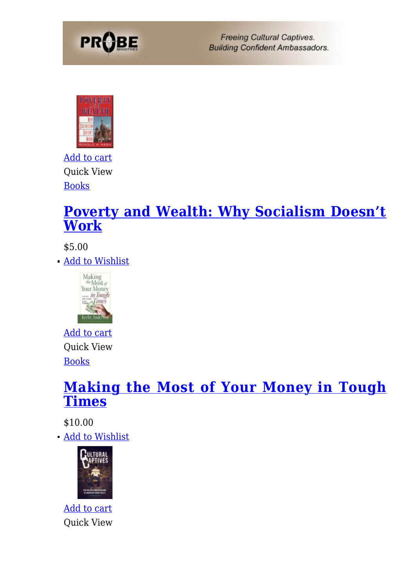



[Add to cart](https://probe.org/?add-to-cart=4466) Quick View [Books](https://probe.org/product-category/books/)

#### **[Poverty and Wealth: Why Socialism Doesn't](https://probe.org/product/poverty-and-wealth-why-socialism-doesnt-work/) [Work](https://probe.org/product/poverty-and-wealth-why-socialism-doesnt-work/)**

\$5.00

[Add to Wishlist](https://probe.org/?add_to_wishlist=4458&_wpnonce=596a8ce2f2)



[Add to cart](https://probe.org/?add-to-cart=4458) Quick View [Books](https://probe.org/product-category/books/)

#### **[Making the Most of Your Money in Tough](https://probe.org/product/making-the-most-of-your-money-in-tough-times/) [Times](https://probe.org/product/making-the-most-of-your-money-in-tough-times/)**

\$10.00

[Add to Wishlist](https://probe.org/?add_to_wishlist=4450&_wpnonce=596a8ce2f2)



[Add to cart](https://probe.org/?add-to-cart=4450) Quick View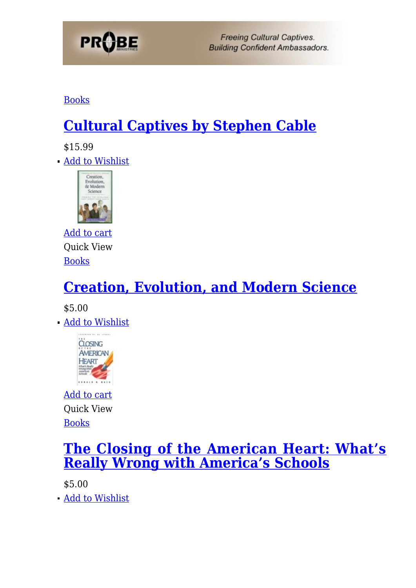

[Books](https://probe.org/product-category/books/)

### **[Cultural Captives by Stephen Cable](https://probe.org/product/cultural-captives-by-steven-cable/)**

\$15.99

[Add to Wishlist](https://probe.org/?add_to_wishlist=4448&_wpnonce=596a8ce2f2)



[Add to cart](https://probe.org/?add-to-cart=4448) Quick View [Books](https://probe.org/product-category/books/)

## **[Creation, Evolution, and Modern Science](https://probe.org/product/creation-evolution-and-modern-science/)**

\$5.00

**[Add to Wishlist](https://probe.org/?add_to_wishlist=4446&_wpnonce=596a8ce2f2)** 



[Add to cart](https://probe.org/?add-to-cart=4446) Quick View [Books](https://probe.org/product-category/books/)

#### **[The Closing of the American Heart: What's](https://probe.org/product/the-closing-of-the-american-heart-whats-really-wrong-with-americas-schools/) [Really Wrong with America's Schools](https://probe.org/product/the-closing-of-the-american-heart-whats-really-wrong-with-americas-schools/)**

\$5.00

[Add to Wishlist](https://probe.org/?add_to_wishlist=4444&_wpnonce=596a8ce2f2)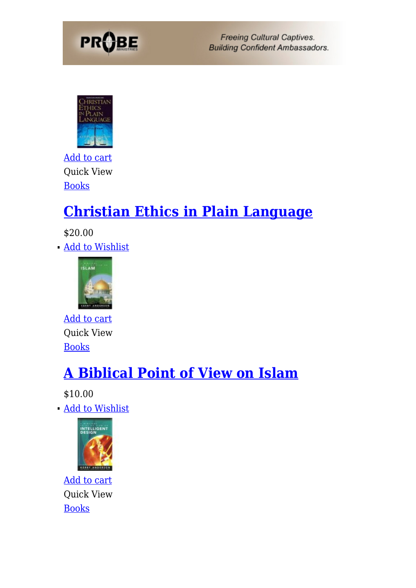



[Add to cart](https://probe.org/?add-to-cart=4444) Quick View **[Books](https://probe.org/product-category/books/)** 

### **[Christian Ethics in Plain Language](https://probe.org/product/christian-ethics-in-plain-language/)**

\$20.00 [Add to Wishlist](https://probe.org/?add_to_wishlist=4442&_wpnonce=596a8ce2f2)



[Add to cart](https://probe.org/?add-to-cart=4442) Quick View [Books](https://probe.org/product-category/books/)

### **[A Biblical Point of View on Islam](https://probe.org/product/a-biblical-point-of-view-on-islam/)**

\$10.00

[Add to Wishlist](https://probe.org/?add_to_wishlist=4440&_wpnonce=596a8ce2f2)



[Add to cart](https://probe.org/?add-to-cart=4440) Quick View [Books](https://probe.org/product-category/books/)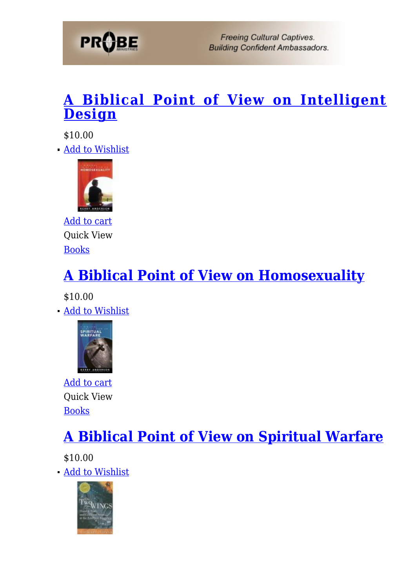

#### **[A Biblical Point of View on Intelligent](https://probe.org/product/a-biblical-point-of-view-on-intelligent-design/) [Design](https://probe.org/product/a-biblical-point-of-view-on-intelligent-design/)**

\$10.00 [Add to Wishlist](https://probe.org/?add_to_wishlist=4438&_wpnonce=596a8ce2f2)



[Add to cart](https://probe.org/?add-to-cart=4438) Quick View [Books](https://probe.org/product-category/books/)

## **[A Biblical Point of View on Homosexuality](https://probe.org/product/a-biblical-point-of-view-on-homosexuality/)**

\$10.00

[Add to Wishlist](https://probe.org/?add_to_wishlist=4436&_wpnonce=596a8ce2f2)



[Add to cart](https://probe.org/?add-to-cart=4436) Quick View [Books](https://probe.org/product-category/books/)

### **[A Biblical Point of View on Spiritual Warfare](https://probe.org/product/a-biblical-point-of-view-on-spiritual-warfare/)**

\$10.00

[Add to Wishlist](https://probe.org/?add_to_wishlist=4464&_wpnonce=596a8ce2f2)

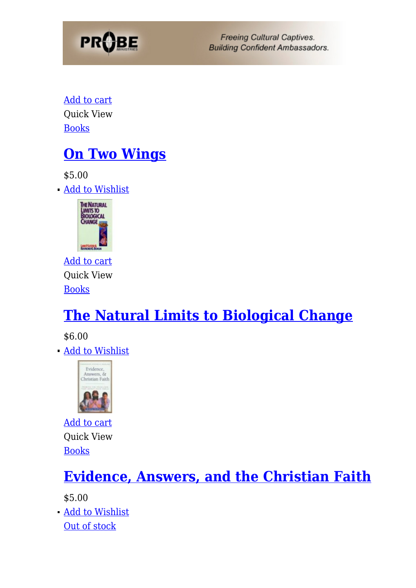

[Add to cart](https://probe.org/?add-to-cart=4464) Quick View [Books](https://probe.org/product-category/books/)

### **[On Two Wings](https://probe.org/product/on-two-wings/)**

\$5.00

[Add to Wishlist](https://probe.org/?add_to_wishlist=4461&_wpnonce=596a8ce2f2)



[Add to cart](https://probe.org/?add-to-cart=4461) Quick View [Books](https://probe.org/product-category/books/)

### **[The Natural Limits to Biological Change](https://probe.org/product/the-natural-limits-to-biological-change/)**

\$6.00

[Add to Wishlist](https://probe.org/?add_to_wishlist=4456&_wpnonce=596a8ce2f2)



[Add to cart](https://probe.org/?add-to-cart=4456) Quick View [Books](https://probe.org/product-category/books/)

### **[Evidence, Answers, and the Christian Faith](https://probe.org/product/evidence-answers-and-the-christian-faith/)**

\$5.00

[Add to Wishlist](https://probe.org/?add_to_wishlist=4454&_wpnonce=596a8ce2f2) [Out of stock](https://probe.org/product/darwins-racists-sharon-sebastian-dr-ray-bohlin/)